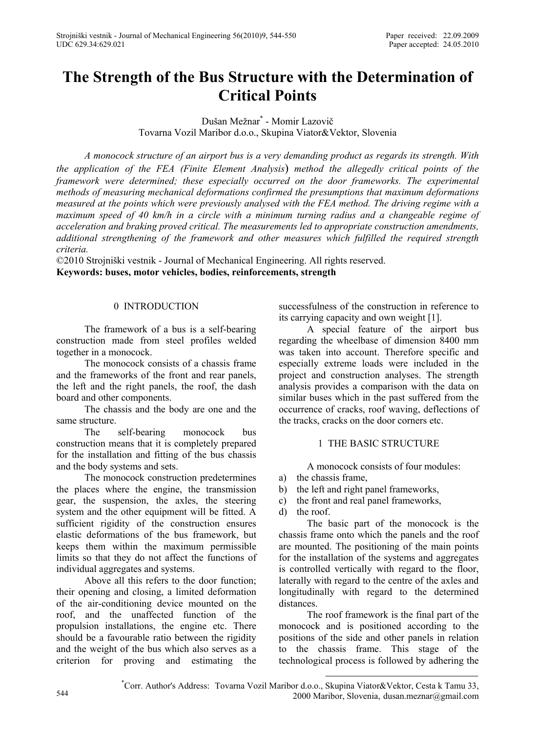# **The Strength of the Bus Structure with the Determination of Critical Points**

Dušan Mežnar\* - Momir Lazovič Tovarna Vozil Maribor d.o.o., Skupina Viator&Vektor, Slovenia

*A monocock structure of an airport bus is a very demanding product as regards its strength. With the application of the FEA (Finite Element Analysis*) *method the allegedly critical points of the framework were determined; these especially occurred on the door frameworks. The experimental methods of measuring mechanical deformations confirmed the presumptions that maximum deformations measured at the points which were previously analysed with the FEA method. The driving regime with a maximum speed of 40 km/h in a circle with a minimum turning radius and a changeable regime of acceleration and braking proved critical. The measurements led to appropriate construction amendments, additional strengthening of the framework and other measures which fulfilled the required strength criteria.* 

©2010 Strojniški vestnik - Journal of Mechanical Engineering. All rights reserved. **Keywords: buses, motor vehicles, bodies, reinforcements, strength** 

# 0 INTRODUCTION

The framework of a bus is a self-bearing construction made from steel profiles welded together in a monocock.

The monocock consists of a chassis frame and the frameworks of the front and rear panels, the left and the right panels, the roof, the dash board and other components.

The chassis and the body are one and the same structure.

The self-bearing monocock bus construction means that it is completely prepared for the installation and fitting of the bus chassis and the body systems and sets.

The monocock construction predetermines the places where the engine, the transmission gear, the suspension, the axles, the steering system and the other equipment will be fitted. A sufficient rigidity of the construction ensures elastic deformations of the bus framework, but keeps them within the maximum permissible limits so that they do not affect the functions of individual aggregates and systems.

Above all this refers to the door function; their opening and closing, a limited deformation of the air-conditioning device mounted on the roof, and the unaffected function of the propulsion installations, the engine etc. There should be a favourable ratio between the rigidity and the weight of the bus which also serves as a criterion for proving and estimating the successfulness of the construction in reference to its carrying capacity and own weight [1].

A special feature of the airport bus regarding the wheelbase of dimension 8400 mm was taken into account. Therefore specific and especially extreme loads were included in the project and construction analyses. The strength analysis provides a comparison with the data on similar buses which in the past suffered from the occurrence of cracks, roof waving, deflections of the tracks, cracks on the door corners etc.

# 1 THE BASIC STRUCTURE

A monocock consists of four modules:

- a) the chassis frame,
- b) the left and right panel frameworks,
- c) the front and real panel frameworks,
- d) the roof.

The basic part of the monocock is the chassis frame onto which the panels and the roof are mounted. The positioning of the main points for the installation of the systems and aggregates is controlled vertically with regard to the floor, laterally with regard to the centre of the axles and longitudinally with regard to the determined distances.

The roof framework is the final part of the monocock and is positioned according to the positions of the side and other panels in relation to the chassis frame. This stage of the technological process is followed by adhering the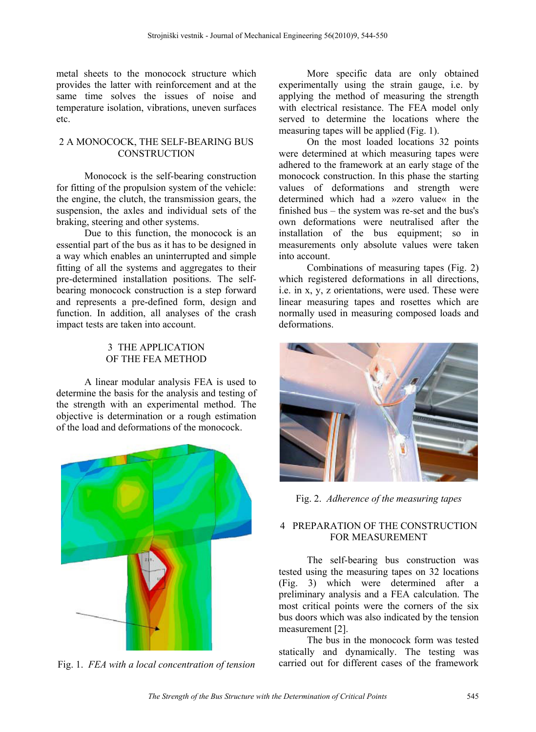metal sheets to the monocock structure which provides the latter with reinforcement and at the same time solves the issues of noise and temperature isolation, vibrations, uneven surfaces etc.

### 2 A MONOCOCK, THE SELF-BEARING BUS **CONSTRUCTION**

Monocock is the self-bearing construction for fitting of the propulsion system of the vehicle: the engine, the clutch, the transmission gears, the suspension, the axles and individual sets of the braking, steering and other systems.

Due to this function, the monocock is an essential part of the bus as it has to be designed in a way which enables an uninterrupted and simple fitting of all the systems and aggregates to their pre-determined installation positions. The selfbearing monocock construction is a step forward and represents a pre-defined form, design and function. In addition, all analyses of the crash impact tests are taken into account.

#### 3 THE APPLICATION OF THE FEA METHOD

A linear modular analysis FEA is used to determine the basis for the analysis and testing of the strength with an experimental method. The objective is determination or a rough estimation of the load and deformations of the monocock.



Fig. 1. *FEA with a local concentration of tension*

More specific data are only obtained experimentally using the strain gauge, i.e. by applying the method of measuring the strength with electrical resistance. The FEA model only served to determine the locations where the measuring tapes will be applied (Fig. 1).

On the most loaded locations 32 points were determined at which measuring tapes were adhered to the framework at an early stage of the monocock construction. In this phase the starting values of deformations and strength were determined which had a »zero value« in the finished bus – the system was re-set and the bus's own deformations were neutralised after the installation of the bus equipment; so in measurements only absolute values were taken into account.

Combinations of measuring tapes (Fig. 2) which registered deformations in all directions, i.e. in x, y, z orientations, were used. These were linear measuring tapes and rosettes which are normally used in measuring composed loads and deformations.



Fig. 2. *Adherence of the measuring tapes* 

#### 4 PREPARATION OF THE CONSTRUCTION FOR MEASUREMENT

The self-bearing bus construction was tested using the measuring tapes on 32 locations (Fig. 3) which were determined after a preliminary analysis and a FEA calculation. The most critical points were the corners of the six bus doors which was also indicated by the tension measurement [2].

The bus in the monocock form was tested statically and dynamically. The testing was carried out for different cases of the framework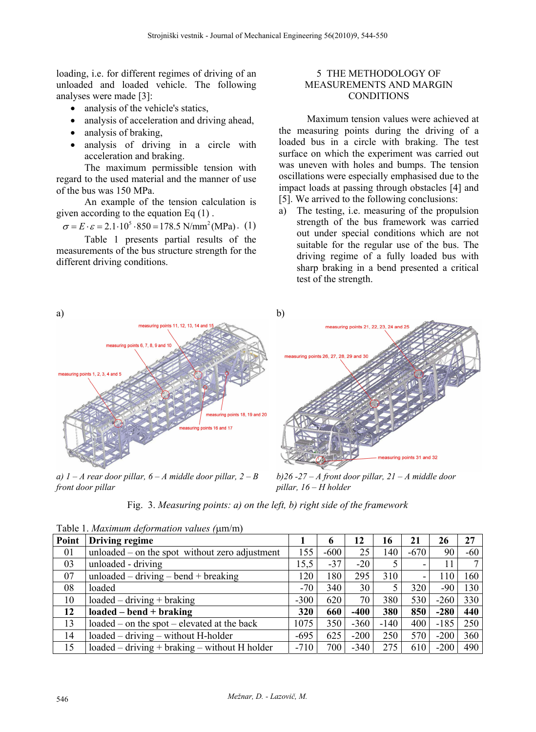loading, i.e. for different regimes of driving of an unloaded and loaded vehicle. The following analyses were made [3]:

- analysis of the vehicle's statics,
- analysis of acceleration and driving ahead,
- analysis of braking,
- analysis of driving in a circle with acceleration and braking.

The maximum permissible tension with regard to the used material and the manner of use of the bus was 150 MPa.

An example of the tension calculation is given according to the equation Eq (1) .

$$
\sigma = E \cdot \varepsilon = 2.1 \cdot 10^5 \cdot 850 = 178.5 \text{ N/mm}^2 (\text{MPa}). (1)
$$

Table 1 presents partial results of the measurements of the bus structure strength for the different driving conditions.

### 5 THE METHODOLOGY OF MEASUREMENTS AND MARGIN **CONDITIONS**

Maximum tension values were achieved at the measuring points during the driving of a loaded bus in a circle with braking. The test surface on which the experiment was carried out was uneven with holes and bumps. The tension oscillations were especially emphasised due to the impact loads at passing through obstacles [4] and [5]. We arrived to the following conclusions:

a) The testing, i.e. measuring of the propulsion strength of the bus framework was carried out under special conditions which are not suitable for the regular use of the bus. The driving regime of a fully loaded bus with sharp braking in a bend presented a critical test of the strength.



*a)*  $1 - A$  rear door pillar,  $6 - A$  middle door pillar,  $2 - B$ *front door pillar* 

*b)26 -27 – A front door pillar, 21 – A middle door pillar, 16 – H holder*

Fig. 3. *Measuring points: a) on the left, b) right side of the framework*

| Point | Driving regime                                   |        | 6      | 12     | 16     | 21                       | 26     | 27    |
|-------|--------------------------------------------------|--------|--------|--------|--------|--------------------------|--------|-------|
| 01    | unloaded $-$ on the spot without zero adjustment | 155    | $-600$ | 25     | 140    | -670                     | 90     | $-60$ |
| 03    | unloaded - driving                               | 15,5   | $-37$  | $-20$  |        | $\overline{\phantom{0}}$ |        |       |
| 07    | unloaded $-$ driving $-$ bend $+$ breaking       | 120    | 180    | 295    | 310    | $\overline{\phantom{a}}$ | 110    | 160   |
| 08    | loaded                                           | $-70$  | 340    | 30     |        | 320                      | -90    | 130   |
| 10    | $loaded - driving + braking$                     | $-300$ | 620    | 70     | 380    | 530                      | $-260$ | 330   |
| 12    | $loaded - bend + braking$                        | 320    | 660    | -400   | 380    | 850                      | $-280$ | 440   |
| 13    | loaded – on the spot – elevated at the back      | 1075   | 350    | $-360$ | $-140$ | 400                      | $-185$ | 250   |
| 14    | loaded – driving – without H-holder              | $-695$ | 625    | $-200$ | 250    | 570                      | $-200$ | 360   |
| 15    | $loaded - driving + braking - without H holder$  | $-710$ | 700    | $-340$ | 275    | 610                      | $-200$ | 490   |

Table 1. *Maximum deformation values (*m/m)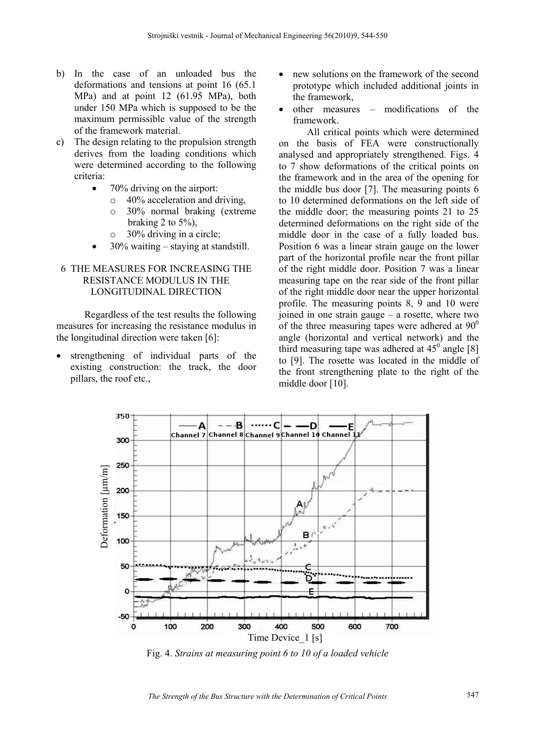- b) In the case of an unloaded bus the deformations and tensions at point 16 (65.1 MPa) and at point 12 (61.95 MPa), both under 150 MPa which is supposed to be the maximum permissible value of the strength of the framework material.
- c) The design relating to the propulsion strength derives from the loading conditions which were determined according to the following criteria:
	- 70% driving on the airport:
		- o 40% acceleration and driving,
		- o 30% normal braking (extreme braking 2 to  $5\%$ ).
		- o 30% driving in a circle;
	- 30% waiting staying at standstill.

### 6 THE MEASURES FOR INCREASING THE RESISTANCE MODULUS IN THE LONGITUDINAL DIRECTION

Regardless of the test results the following measures for increasing the resistance modulus in the longitudinal direction were taken [6]:

 strengthening of individual parts of the existing construction: the track, the door pillars, the roof etc.,

- new solutions on the framework of the second prototype which included additional joints in the framework,
- other measures modifications of the framework.

All critical points which were determined on the basis of FEA were constructionally analysed and appropriately strengthened. Figs. 4 to 7 show deformations of the critical points on the framework and in the area of the opening for the middle bus door [7]. The measuring points 6 to 10 determined deformations on the left side of the middle door; the measuring points 21 to 25 determined deformations on the right side of the middle door in the case of a fully loaded bus. Position 6 was a linear strain gauge on the lower part of the horizontal profile near the front pillar of the right middle door. Position 7 was a linear measuring tape on the rear side of the front pillar of the right middle door near the upper horizontal profile. The measuring points 8, 9 and 10 were joined in one strain gauge – a rosette, where two of the three measuring tapes were adhered at  $90^{\circ}$ angle (horizontal and vertical network) and the third measuring tape was adhered at  $45^{\circ}$  angle [8] to [9]. The rosette was located in the middle of the front strengthening plate to the right of the middle door [10].



Fig. 4. *Strains at measuring point 6 to 10 of a loaded vehicle*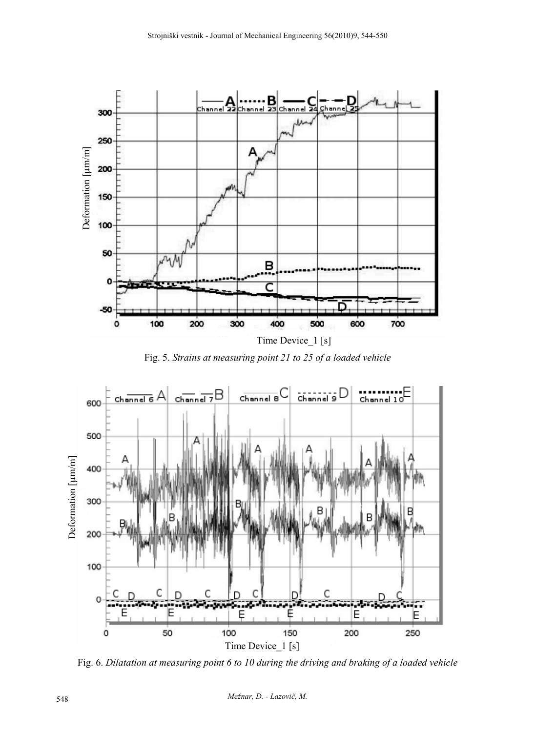

Fig. 5. *Strains at measuring point 21 to 25 of a loaded vehicle* 

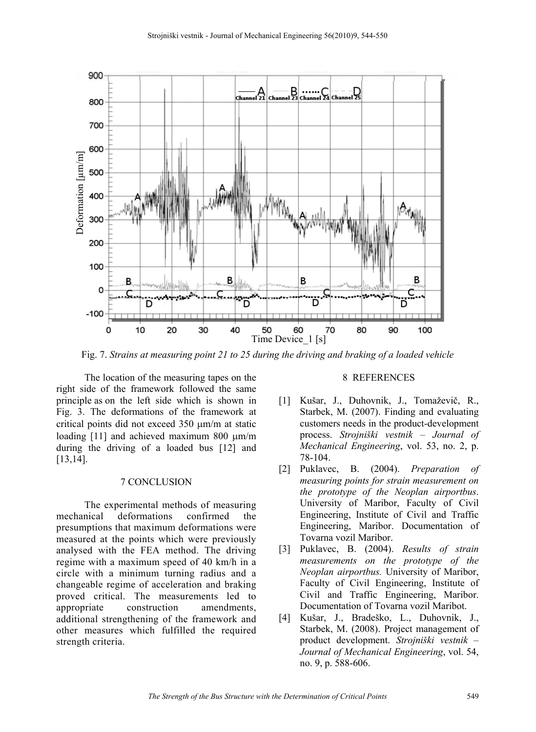

Fig. 7. *Strains at measuring point 21 to 25 during the driving and braking of a loaded vehicle* 

The location of the measuring tapes on the right side of the framework followed the same principle as on the left side which is shown in Fig. 3. The deformations of the framework at critical points did not exceed 350  $\mu$ m/m at static loading  $[11]$  and achieved maximum 800  $\mu$ m/m during the driving of a loaded bus [12] and [13,14].

#### 7 CONCLUSION

The experimental methods of measuring mechanical deformations confirmed the presumptions that maximum deformations were measured at the points which were previously analysed with the FEA method. The driving regime with a maximum speed of 40 km/h in a circle with a minimum turning radius and a changeable regime of acceleration and braking proved critical. The measurements led to appropriate construction amendments, additional strengthening of the framework and other measures which fulfilled the required strength criteria.

#### 8 REFERENCES

- [1] Kušar, J., Duhovnik, J., Tomaževič, R., Starbek, M. (2007). Finding and evaluating customers needs in the product-development process. *Strojniški vestnik – Journal of Mechanical Engineering*, vol. 53, no. 2, p. 78-104.
- [2] Puklavec, B. (2004). *Preparation of measuring points for strain measurement on the prototype of the Neoplan airportbus*. University of Maribor, Faculty of Civil Engineering, Institute of Civil and Traffic Engineering, Maribor. Documentation of Tovarna vozil Maribor.
- [3] Puklavec, B. (2004). *Results of strain measurements on the prototype of the Neoplan airportbus.* University of Maribor, Faculty of Civil Engineering, Institute of Civil and Traffic Engineering, Maribor. Documentation of Tovarna vozil Maribot.
- [4] Kušar, J., Bradeško, L., Duhovnik, J., Starbek, M. (2008). Project management of product development. *Strojniški vestnik – Journal of Mechanical Engineering*, vol. 54, no. 9, p. 588-606.